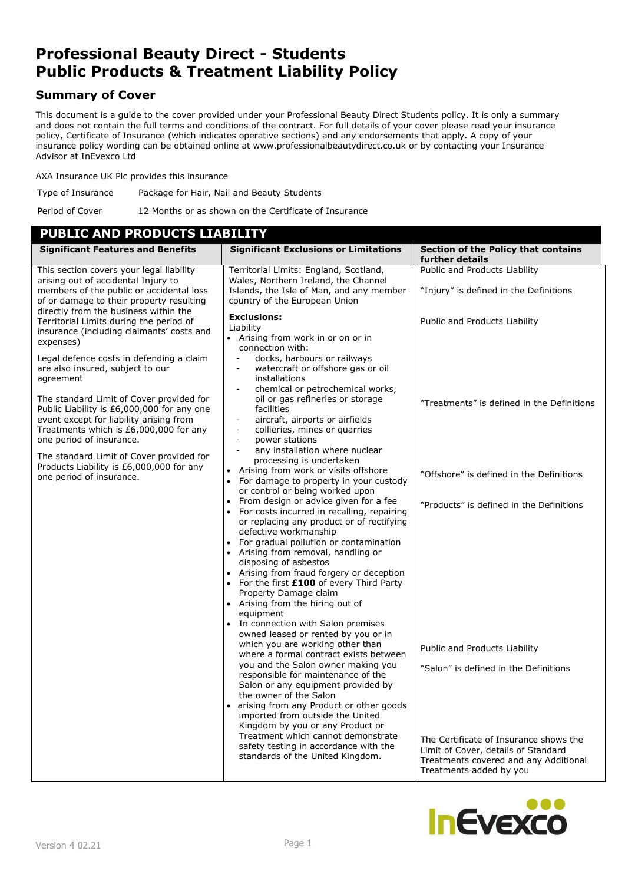# **Professional Beauty Direct - Students Public Products & Treatment Liability Policy**

# **Summary of Cover**

This document is a guide to the cover provided under your Professional Beauty Direct Students policy. It is only a summary and does not contain the full terms and conditions of the contract. For full details of your cover please read your insurance policy, Certificate of Insurance (which indicates operative sections) and any endorsements that apply. A copy of your insurance policy wording can be obtained online at www.professionalbeautydirect.co.uk or by contacting your Insurance Advisor at InEvexco Ltd

AXA Insurance UK Plc provides this insurance

Type of Insurance Package for Hair, Nail and Beauty Students

Period of Cover 12 Months or as shown on the Certificate of Insurance

# **PUBLIC AND PRODUCTS LIABILITY**

| <b>Significant Features and Benefits</b>                                                                                                                                                                         | <b>Significant Exclusions or Limitations</b>                                                                                                                                                                                                                                                                                                                                                                                                                                                                                                                                                                                                                                                                  | <b>Section of the Policy that contains</b><br>further details                                                                                     |
|------------------------------------------------------------------------------------------------------------------------------------------------------------------------------------------------------------------|---------------------------------------------------------------------------------------------------------------------------------------------------------------------------------------------------------------------------------------------------------------------------------------------------------------------------------------------------------------------------------------------------------------------------------------------------------------------------------------------------------------------------------------------------------------------------------------------------------------------------------------------------------------------------------------------------------------|---------------------------------------------------------------------------------------------------------------------------------------------------|
| This section covers your legal liability<br>arising out of accidental Injury to<br>members of the public or accidental loss<br>of or damage to their property resulting<br>directly from the business within the | Territorial Limits: England, Scotland,<br>Wales, Northern Ireland, the Channel<br>Islands, the Isle of Man, and any member<br>country of the European Union                                                                                                                                                                                                                                                                                                                                                                                                                                                                                                                                                   | Public and Products Liability<br>"Injury" is defined in the Definitions                                                                           |
| Territorial Limits during the period of<br>insurance (including claimants' costs and<br>expenses)                                                                                                                | <b>Exclusions:</b><br>Liability<br>• Arising from work in or on or in<br>connection with:                                                                                                                                                                                                                                                                                                                                                                                                                                                                                                                                                                                                                     | Public and Products Liability                                                                                                                     |
| Legal defence costs in defending a claim<br>are also insured, subject to our<br>agreement                                                                                                                        | docks, harbours or railways<br>watercraft or offshore gas or oil<br>$\overline{\phantom{a}}$<br>installations<br>chemical or petrochemical works,                                                                                                                                                                                                                                                                                                                                                                                                                                                                                                                                                             |                                                                                                                                                   |
| The standard Limit of Cover provided for<br>Public Liability is £6,000,000 for any one<br>event except for liability arising from<br>Treatments which is £6,000,000 for any<br>one period of insurance.          | oil or gas refineries or storage<br>facilities<br>aircraft, airports or airfields<br>$\overline{\phantom{a}}$<br>collieries, mines or quarries<br>$\qquad \qquad \blacksquare$<br>power stations<br>$\overline{\phantom{a}}$                                                                                                                                                                                                                                                                                                                                                                                                                                                                                  | "Treatments" is defined in the Definitions                                                                                                        |
| The standard Limit of Cover provided for<br>Products Liability is £6,000,000 for any<br>one period of insurance.                                                                                                 | any installation where nuclear<br>processing is undertaken<br>Arising from work or visits offshore<br>For damage to property in your custody<br>or control or being worked upon                                                                                                                                                                                                                                                                                                                                                                                                                                                                                                                               | "Offshore" is defined in the Definitions                                                                                                          |
|                                                                                                                                                                                                                  | From design or advice given for a fee<br>For costs incurred in recalling, repairing<br>or replacing any product or of rectifying<br>defective workmanship<br>• For gradual pollution or contamination<br>Arising from removal, handling or<br>disposing of asbestos<br>Arising from fraud forgery or deception<br>For the first £100 of every Third Party<br>Property Damage claim<br>Arising from the hiring out of<br>equipment<br>In connection with Salon premises<br>owned leased or rented by you or in<br>which you are working other than<br>where a formal contract exists between<br>you and the Salon owner making you<br>responsible for maintenance of the<br>Salon or any equipment provided by | "Products" is defined in the Definitions<br>Public and Products Liability<br>"Salon" is defined in the Definitions                                |
|                                                                                                                                                                                                                  | the owner of the Salon<br>arising from any Product or other goods<br>imported from outside the United<br>Kingdom by you or any Product or<br>Treatment which cannot demonstrate<br>safety testing in accordance with the<br>standards of the United Kingdom.                                                                                                                                                                                                                                                                                                                                                                                                                                                  | The Certificate of Insurance shows the<br>Limit of Cover, details of Standard<br>Treatments covered and any Additional<br>Treatments added by you |

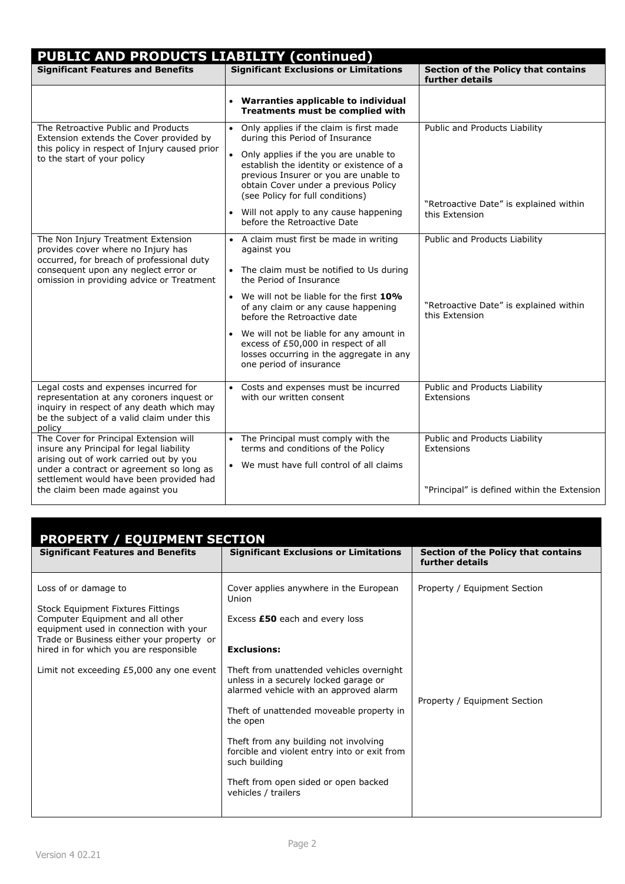| <b>PUBLIC AND PRODUCTS LIABILITY (continued)</b>                                                                                                                                                                                                       |                                                                                                                                                                                                                                                                                                                                                                                                              |                                                                                            |  |  |
|--------------------------------------------------------------------------------------------------------------------------------------------------------------------------------------------------------------------------------------------------------|--------------------------------------------------------------------------------------------------------------------------------------------------------------------------------------------------------------------------------------------------------------------------------------------------------------------------------------------------------------------------------------------------------------|--------------------------------------------------------------------------------------------|--|--|
| <b>Significant Features and Benefits</b>                                                                                                                                                                                                               | <b>Significant Exclusions or Limitations</b>                                                                                                                                                                                                                                                                                                                                                                 | <b>Section of the Policy that contains</b><br>further details                              |  |  |
|                                                                                                                                                                                                                                                        | • Warranties applicable to individual<br>Treatments must be complied with                                                                                                                                                                                                                                                                                                                                    |                                                                                            |  |  |
| The Retroactive Public and Products<br>Extension extends the Cover provided by<br>this policy in respect of Injury caused prior<br>to the start of your policy                                                                                         | • Only applies if the claim is first made<br>during this Period of Insurance<br>• Only applies if the you are unable to<br>establish the identity or existence of a<br>previous Insurer or you are unable to<br>obtain Cover under a previous Policy<br>(see Policy for full conditions)<br>• Will not apply to any cause happening<br>before the Retroactive Date                                           | Public and Products Liability<br>"Retroactive Date" is explained within<br>this Extension  |  |  |
| The Non Injury Treatment Extension<br>provides cover where no Injury has<br>occurred, for breach of professional duty<br>consequent upon any neglect error or<br>omission in providing advice or Treatment                                             | • A claim must first be made in writing<br>against you<br>• The claim must be notified to Us during<br>the Period of Insurance<br>• We will not be liable for the first 10%<br>of any claim or any cause happening<br>before the Retroactive date<br>• We will not be liable for any amount in<br>excess of £50,000 in respect of all<br>losses occurring in the aggregate in any<br>one period of insurance | Public and Products Liability<br>"Retroactive Date" is explained within<br>this Extension  |  |  |
| Legal costs and expenses incurred for<br>representation at any coroners inquest or<br>inquiry in respect of any death which may<br>be the subject of a valid claim under this<br>policy                                                                | • Costs and expenses must be incurred<br>with our written consent                                                                                                                                                                                                                                                                                                                                            | Public and Products Liability<br>Extensions                                                |  |  |
| The Cover for Principal Extension will<br>insure any Principal for legal liability<br>arising out of work carried out by you<br>under a contract or agreement so long as<br>settlement would have been provided had<br>the claim been made against you | • The Principal must comply with the<br>terms and conditions of the Policy<br>• We must have full control of all claims                                                                                                                                                                                                                                                                                      | Public and Products Liability<br>Extensions<br>"Principal" is defined within the Extension |  |  |

| <b>PROPERTY / EQUIPMENT SECTION</b>                                                                                                                                                                                                                                        |                                                                                                                                                                                                                                                                                                                                                                                                                                                                         |                                                              |  |  |
|----------------------------------------------------------------------------------------------------------------------------------------------------------------------------------------------------------------------------------------------------------------------------|-------------------------------------------------------------------------------------------------------------------------------------------------------------------------------------------------------------------------------------------------------------------------------------------------------------------------------------------------------------------------------------------------------------------------------------------------------------------------|--------------------------------------------------------------|--|--|
| <b>Significant Features and Benefits</b>                                                                                                                                                                                                                                   | <b>Significant Exclusions or Limitations</b>                                                                                                                                                                                                                                                                                                                                                                                                                            | Section of the Policy that contains<br>further details       |  |  |
| Loss of or damage to<br>Stock Equipment Fixtures Fittings<br>Computer Equipment and all other<br>equipment used in connection with your<br>Trade or Business either your property or<br>hired in for which you are responsible<br>Limit not exceeding £5,000 any one event | Cover applies anywhere in the European<br>Union<br>Excess £50 each and every loss<br><b>Exclusions:</b><br>Theft from unattended vehicles overnight<br>unless in a securely locked garage or<br>alarmed vehicle with an approved alarm<br>Theft of unattended moveable property in<br>the open<br>Theft from any building not involving<br>forcible and violent entry into or exit from<br>such building<br>Theft from open sided or open backed<br>vehicles / trailers | Property / Equipment Section<br>Property / Equipment Section |  |  |
|                                                                                                                                                                                                                                                                            |                                                                                                                                                                                                                                                                                                                                                                                                                                                                         |                                                              |  |  |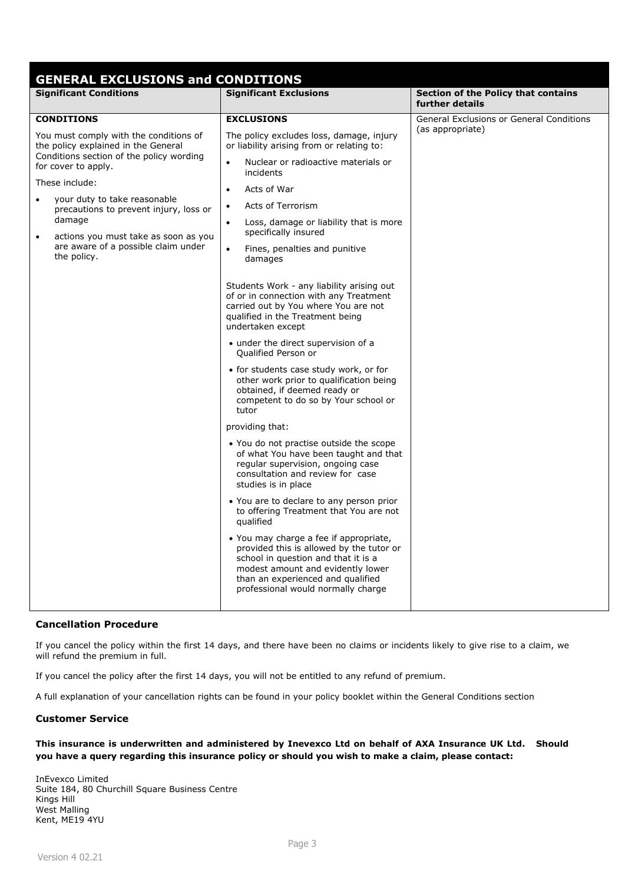| <b>GENERAL EXCLUSIONS and CONDITIONS</b>                                                                                                                                                    |                                                                                                                                                                                                                                           |                                                        |  |  |
|---------------------------------------------------------------------------------------------------------------------------------------------------------------------------------------------|-------------------------------------------------------------------------------------------------------------------------------------------------------------------------------------------------------------------------------------------|--------------------------------------------------------|--|--|
| <b>Significant Conditions</b>                                                                                                                                                               | <b>Significant Exclusions</b>                                                                                                                                                                                                             | Section of the Policy that contains<br>further details |  |  |
| <b>CONDITIONS</b>                                                                                                                                                                           | <b>EXCLUSIONS</b>                                                                                                                                                                                                                         | <b>General Exclusions or General Conditions</b>        |  |  |
| You must comply with the conditions of<br>the policy explained in the General<br>Conditions section of the policy wording<br>for cover to apply.                                            | The policy excludes loss, damage, injury<br>or liability arising from or relating to:                                                                                                                                                     | (as appropriate)                                       |  |  |
|                                                                                                                                                                                             | Nuclear or radioactive materials or<br>$\bullet$<br>incidents                                                                                                                                                                             |                                                        |  |  |
| These include:                                                                                                                                                                              | Acts of War<br>$\bullet$                                                                                                                                                                                                                  |                                                        |  |  |
| your duty to take reasonable<br>precautions to prevent injury, loss or<br>damage<br>actions you must take as soon as you<br>$\bullet$<br>are aware of a possible claim under<br>the policy. | Acts of Terrorism<br>$\bullet$                                                                                                                                                                                                            |                                                        |  |  |
|                                                                                                                                                                                             | Loss, damage or liability that is more<br>$\bullet$<br>specifically insured                                                                                                                                                               |                                                        |  |  |
|                                                                                                                                                                                             | Fines, penalties and punitive<br>$\bullet$<br>damages                                                                                                                                                                                     |                                                        |  |  |
|                                                                                                                                                                                             | Students Work - any liability arising out<br>of or in connection with any Treatment<br>carried out by You where You are not<br>qualified in the Treatment being<br>undertaken except<br>• under the direct supervision of a               |                                                        |  |  |
|                                                                                                                                                                                             | Qualified Person or                                                                                                                                                                                                                       |                                                        |  |  |
|                                                                                                                                                                                             | • for students case study work, or for<br>other work prior to qualification being<br>obtained, if deemed ready or<br>competent to do so by Your school or<br>tutor                                                                        |                                                        |  |  |
|                                                                                                                                                                                             | providing that:                                                                                                                                                                                                                           |                                                        |  |  |
|                                                                                                                                                                                             | • You do not practise outside the scope<br>of what You have been taught and that<br>regular supervision, ongoing case<br>consultation and review for case<br>studies is in place                                                          |                                                        |  |  |
|                                                                                                                                                                                             | • You are to declare to any person prior<br>to offering Treatment that You are not<br>qualified                                                                                                                                           |                                                        |  |  |
|                                                                                                                                                                                             | • You may charge a fee if appropriate,<br>provided this is allowed by the tutor or<br>school in question and that it is a<br>modest amount and evidently lower<br>than an experienced and qualified<br>professional would normally charge |                                                        |  |  |
|                                                                                                                                                                                             |                                                                                                                                                                                                                                           |                                                        |  |  |

# **Cancellation Procedure**

If you cancel the policy within the first 14 days, and there have been no claims or incidents likely to give rise to a claim, we will refund the premium in full.

If you cancel the policy after the first 14 days, you will not be entitled to any refund of premium.

A full explanation of your cancellation rights can be found in your policy booklet within the General Conditions section

# **Customer Service**

# **This insurance is underwritten and administered by Inevexco Ltd on behalf of AXA Insurance UK Ltd. Should you have a query regarding this insurance policy or should you wish to make a claim, please contact:**

InEvexco Limited Suite 184, 80 Churchill Square Business Centre Kings Hill West Malling Kent, ME19 4YU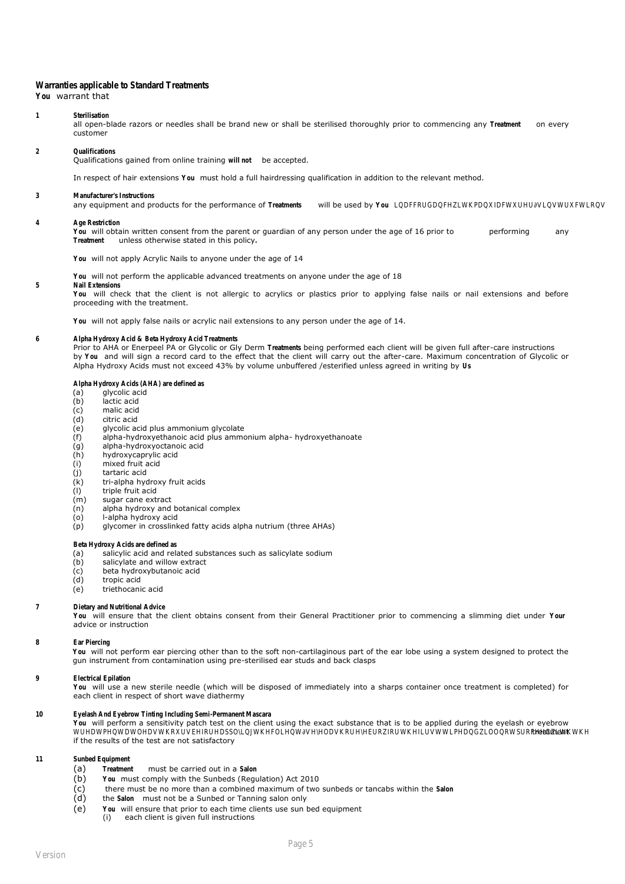## Warranties applicable to Standard Tr

**You** warrant that

#### 1 **Sterilisati**

all open-blade razors or needles shall be brand new or shall be sterilised thoroughly prior to commencing any **Treatment** on every customer

#### 2 **Qualifications**

Qualifications gained from online training **will not** be accepted.

In respect of hair extensions **You** must hold a full hairdressing qualification in addition to the relevant method.

#### **3 Manufacturer's Instruction**

any equipment and products for the performance of Treatments will be used by You LQDFFRUGDQFHZWKPDQXIDFWXUHU**W**QWUXFWLRQV

#### **4 Age Restriction**

You will obtain written consent from the parent or guardian of any person under the age of 16 prior to performing any **Treatment** unless otherwise stated in this policy**.** 

**You** will not apply Acrylic Nails to anyone under the age of 14

**You** will not perform the applicable advanced treatments on anyone under the age of 18

## **5 Nail Extensions**

**You** will check that the client is not allergic to acrylics or plastics prior to applying false nails or nail extensions and before proceeding with the treatment.

**You** will not apply false nails or acrylic nail extensions to any person under the age of 14.

#### **6 Alpha Hydroxy Acid & Beta Hydroxy Acid Trade**

Prior to AHA or Enerpeel PA or Glycolic or Gly Derm Treatments being performed each client will be given full after-care instructio by **You** and will sign a record card to the effect that the client will carry out the after-care. Maximum concentration of Glycolic or Alpha Hydroxy Acids must not exceed 43% by volume unbuffered /esterified unless agreed in writing by **Us**

#### Alpha Hydroxy Acids (AHA) are de

- (a) glycolic acid<br>(b) lactic acid
- (b) lactic acid
- (c) malic acid
- (d) citric acid
- (e) glycolic acid plus ammonium glycolate
- (f) alpha-hydroxyethanoic acid plus ammonium alpha- hydroxyethanoate
- (g) alpha-hydroxyoctanoic acid
- (h) hydroxycaprylic acid
- (i) mixed fruit acid
- (j) tartaric acid
- (k) tri-alpha hydroxy fruit acids
- (l) triple fruit acid
- (m) sugar cane extract
- (n) alpha hydroxy and botanical complex
- (o) l-alpha hydroxy acid
- (p) glycomer in crosslinked fatty acids alpha nutrium (three AHAs)

#### **Beta Hydroxy Acids are defi**

- (a) salicylic acid and related substances such as salicylate sodium
- (b) salicylate and willow extract
- (c) beta hydroxybutanoic acid<br>(d) tropic acid
- (d) tropic acid<br>(e) triethocani
- triethocanic acid

#### **7 Dietary and Nutritional**

**You** will ensure that the client obtains consent from their General Practitioner prior to commencing a slimming diet under **Your** advice or instruction

#### **8 Ear Pierci**

**You** will not perform ear piercing other than to the soft non-cartilaginous part of the ear lobe using a system designed to protect the gun instrument from contamination using pre-sterilised ear studs and back clasps

#### **9 Electrical Epilation**

**You** will use a new sterile needle (which will be disposed of immediately into a sharps container once treatment is completed) for each client in respect of short wave diathermy

## 10 **Eyelash And Eyebrow Tinting Including Semi-Perman**

**You** will perform a sensitivity patch test on the client using the exact substance that is to be applied during the eyelash or eyebrow WUHDWPHQWDWOHDWKRXUVEHIRUHDSSONQWKHFOLHQWWHODKRUHNEURZRUWKHILUWWLPHDQGZOOQRWSURFHHGZWKWXKHent if the results of the test are not satisfactory

#### 11 **Sunbed Equipment**

- (a) **Treatment** must be carried out in a **Salon**
- (b) **You** must comply with the Sunbeds (Regulation) Act 2010
- (c) there must be no more than a combined maximum of two sunbeds or tancabs within the **Salon**
- (d) the **Salon** must not be a Sunbed or Tanning salon only
- (e) **You** will ensure that prior to each time clients use sun bed equipment
	- (i) each client is given full instructions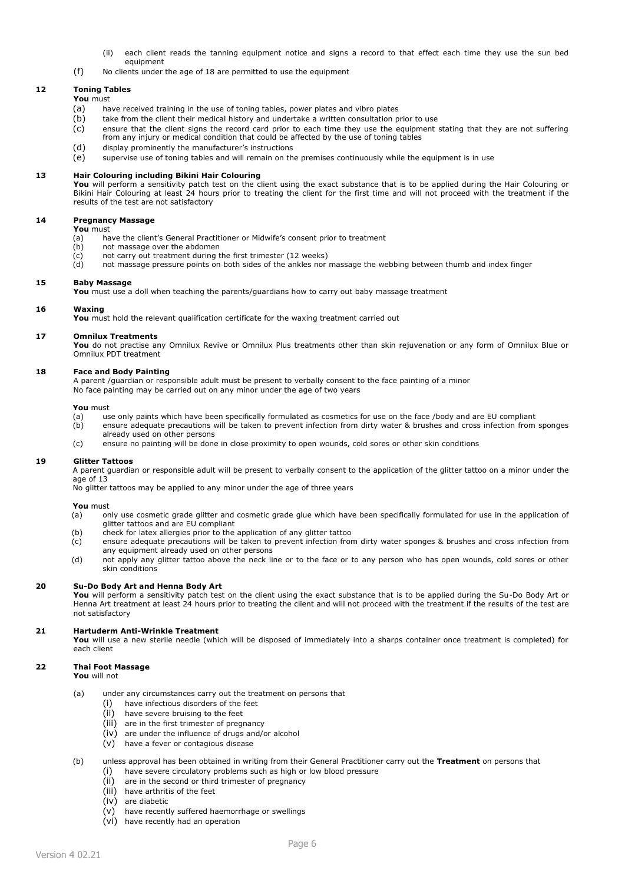- (ii) each client reads the tanning equipment notice and signs a record to that effect each time they use the sun bed equipment
- (f) No clients under the age of 18 are permitted to use the equipment

#### **12 Toning Tables You** must

- (a) have received training in the use of toning tables, power plates and vibro plates
- (b) take from the client their medical history and undertake a written consultation prior to use
- (c) ensure that the client signs the record card prior to each time they use the equipment stating that they are not suffering from any injury or medical condition that could be affected by the use of toning tables
- (d) display prominently the manufacturer's instructions
- (e) supervise use of toning tables and will remain on the premises continuously while the equipment is in use

### **13 Hair Colouring including Bikini Hair Colouring**

**You** will perform a sensitivity patch test on the client using the exact substance that is to be applied during the Hair Colouring or Bikini Hair Colouring at least 24 hours prior to treating the client for the first time and will not proceed with the treatment if the results of the test are not satisfactory

#### **14 Pregnancy Massage You** must

- (a) have the client's General Practitioner or Midwife's consent prior to treatment (b) not massage over the abdomen
- not massage over the abdomen
- (c) not carry out treatment during the first trimester (12 weeks)
- (d) not massage pressure points on both sides of the ankles nor massage the webbing between thumb and index finger

#### **15 Baby Massage**

You must use a doll when teaching the parents/guardians how to carry out baby massage treatment

#### **16 Waxing**

**You** must hold the relevant qualification certificate for the waxing treatment carried out

#### **17 Omnilux Treatments**

**You** do not practise any Omnilux Revive or Omnilux Plus treatments other than skin rejuvenation or any form of Omnilux Blue or Omnilux PDT treatment

## **18 Face and Body Painting**

A parent /guardian or responsible adult must be present to verbally consent to the face painting of a minor No face painting may be carried out on any minor under the age of two years

#### **You** must

- (a) use only paints which have been specifically formulated as cosmetics for use on the face /body and are EU compliant
- (b) ensure adequate precautions will be taken to prevent infection from dirty water & brushes and cross infection from sponges already used on other persons
- (c) ensure no painting will be done in close proximity to open wounds, cold sores or other skin conditions

#### **19 Glitter Tattoos**

A parent guardian or responsible adult will be present to verbally consent to the application of the glitter tattoo on a minor under the age of 13

No glitter tattoos may be applied to any minor under the age of three years

#### **You** must

- (a) only use cosmetic grade glitter and cosmetic grade glue which have been specifically formulated for use in the application of glitter tattoos and are EU compliant
- (b) check for latex allergies prior to the application of any glitter tattoo
- (c) ensure adequate precautions will be taken to prevent infection from dirty water sponges & brushes and cross infection from any equipment already used on other persons
- (d) not apply any glitter tattoo above the neck line or to the face or to any person who has open wounds, cold sores or other skin conditions

#### **20 Su-Do Body Art and Henna Body Art**

**You** will perform a sensitivity patch test on the client using the exact substance that is to be applied during the Su-Do Body Art or Henna Art treatment at least 24 hours prior to treating the client and will not proceed with the treatment if the results of the test are not satisfactory

#### **21 Hartuderm Anti-Wrinkle Treatment**

**You** will use a new sterile needle (which will be disposed of immediately into a sharps container once treatment is completed) for each client

## **22 Thai Foot Massage**

**You** will not

- (a) under any circumstances carry out the treatment on persons that
	- (i) have infectious disorders of the feet
	- (ii) have severe bruising to the feet
	- (iii) are in the first trimester of pregnancy
	- (iv) are under the influence of drugs and/or alcohol
	- (v) have a fever or contagious disease
- (b) unless approval has been obtained in writing from their General Practitioner carry out the **Treatment** on persons that (i) have severe circulatory problems such as high or low blood pressure
	- (ii) are in the second or third trimester of pregnancy
	- (iii) have arthritis of the feet
	- (iv) are diabetic
	- (v) have recently suffered haemorrhage or swellings
	- (vi) have recently had an operation
		-